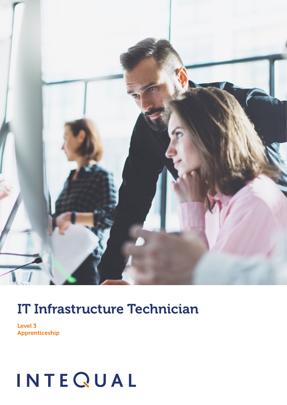

### IT Infrastructure Technician

Level 3 Apprenticeship

# INTEQUAL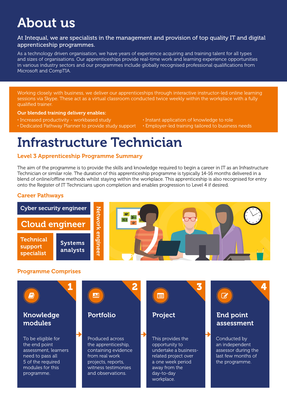### About us

#### At Intequal, we are specialists in the management and provision of top quality IT and digital apprenticeship programmes.

As a technology driven organisation, we have years of experience acquiring and training talent for all types and sizes of organisations. Our apprenticeships provide real-time work and learning experience opportunities in various industry sectors and our programmes include globally recognised professional qualifications from Microsoft and CompTIA.

Working closely with business, we deliver our apprenticeships through interactive instructor-led online learning sessions via Skype. These act as a virtual classroom conducted twice weekly within the workplace with a fully qualified trainer.

#### Our blended training delivery enables:

- · Increased productivity workbased study · Instant application of knowledge to role
- · Dedicated Pathway Planner to provide study support · Employer-led training tailored to business needs
- -

### Infrastructure Technician

#### Level 3 Apprenticeship Programme Summary

The aim of the programme is to provide the skills and knowledge required to begin a career in IT as an Infrastructure Technician or similar role. The duration of this apprenticeship programme is typically 14-16 months delivered in a blend of online/offline methods whilst staying within the workplace. This apprenticeship is also recognised for entry onto the Register of IT Technicians upon completion and enables progression to Level 4 if desired.

#### Career Pathways



#### Programme Comprises

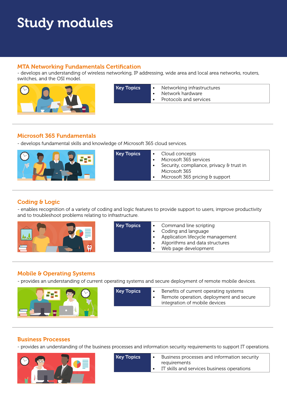## Study modules

#### MTA Networking Fundamentals Certification

- develops an understanding of wireless networking, IP addressing, wide area and local area networks, routers, switches, and the OSI model.



| <b>Key Topics</b> | $\bullet$ | Networking infrastructures |
|-------------------|-----------|----------------------------|
|                   |           | Network hardware           |
|                   |           | Protocols and services     |

#### Microsoft 365 Fundamentals

- develops fundamental skills and knowledge of Microsoft 365 cloud services.



| <b>Key Topics</b> | • Cloud concepts<br>Microsoft 365 services<br>Security, compliance, privacy & trust in<br>Microsoft 365<br>Microsoft 365 pricing & support |
|-------------------|--------------------------------------------------------------------------------------------------------------------------------------------|
|-------------------|--------------------------------------------------------------------------------------------------------------------------------------------|

#### Coding & Logic

- enables recognition of a variety of coding and logic features to provide support to users, improve productivity and to troubleshoot problems relating to infrastructure.



| Web page development | <b>Key Topics</b> | Command line scripting<br>$\bullet$<br>Coding and language<br>Application lifecycle management<br>$\bullet$<br>Algorithms and data structures<br>$\bullet$ |
|----------------------|-------------------|------------------------------------------------------------------------------------------------------------------------------------------------------------|
|----------------------|-------------------|------------------------------------------------------------------------------------------------------------------------------------------------------------|

#### Mobile & Operating Systems

- provides an understanding of current operating systems and secure deployment of remote mobile devices.



Key Topics • Benefits of current operating systems Remote operation, deployment and secure integration of mobile devices

#### Business Processes

- provides an understanding of the business processes and information security requirements to support IT operations.



| <b>Key Topics</b> | Business processes and information security<br>requirements |
|-------------------|-------------------------------------------------------------|
|                   | IT skills and services business operations                  |